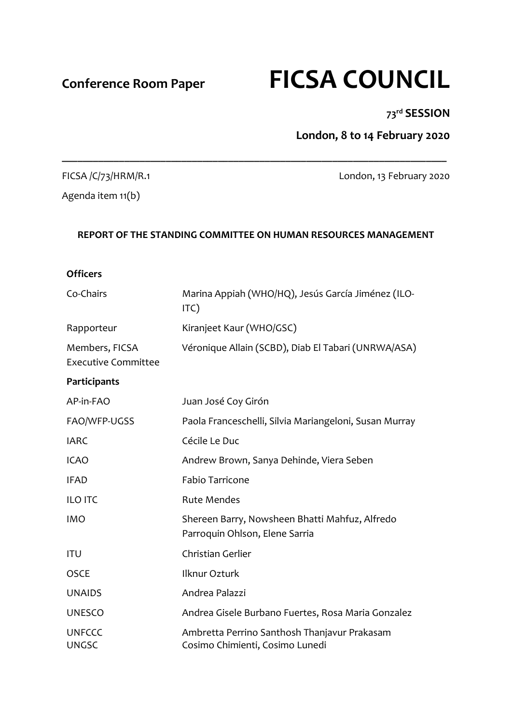# **Conference Room Paper FICSA COUNCIL**

#### **73rd SESSION**

**London, 8 to 14 February 2020**

#### FICSA /C/73/HRM/R.1 London, 13 February 2020

Agenda item 11(b)

#### **REPORT OF THE STANDING COMMITTEE ON HUMAN RESOURCES MANAGEMENT**

**\_\_\_\_\_\_\_\_\_\_\_\_\_\_\_\_\_\_\_\_\_\_\_\_\_\_\_\_\_\_\_\_\_\_\_\_\_\_\_\_\_\_\_\_\_\_\_\_\_\_\_\_\_\_\_\_\_\_\_\_\_\_\_\_\_\_\_\_\_\_\_\_\_\_**

# **Officers** Co-Chairs Marina Appiah (WHO/HQ), Jesús García Jiménez (ILO-ITC) Rapporteur Kiranjeet Kaur (WHO/GSC) Members, FICSA Executive Committee Véronique Allain (SCBD), Diab El Tabari (UNRWA/ASA) **Participants** AP-in-FAO Juan José Coy Girón FAO/WFP-UGSS Paola Franceschelli, Silvia Mariangeloni, Susan Murray

IARC Cécile Le Duc ICAO Andrew Brown, Sanya Dehinde, Viera Seben IFAD Fabio Tarricone ILO ITC Rute Mendes IMO Shereen Barry, Nowsheen Bhatti Mahfuz, Alfredo Parroquin Ohlson, Elene Sarria ITU Christian Gerlier OSCE Ilknur Ozturk UNAIDS Andrea Palazzi UNESCO Andrea Gisele Burbano Fuertes, Rosa Maria Gonzalez UNFCCC Ambretta Perrino Santhosh Thanjavur Prakasam UNGSC Cosimo Chimienti, Cosimo Lunedi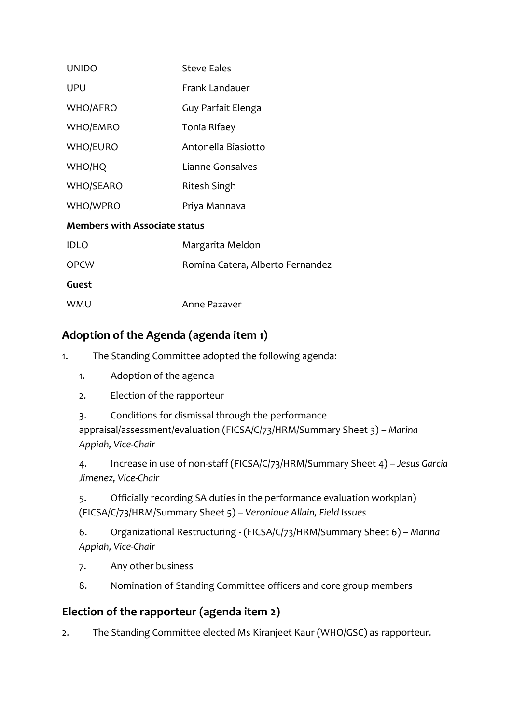| <b>UNIDO</b>                         | <b>Steve Eales</b>               |
|--------------------------------------|----------------------------------|
| <b>UPU</b>                           | Frank Landauer                   |
| <b>WHO/AFRO</b>                      | Guy Parfait Elenga               |
| WHO/EMRO                             | Tonia Rifaey                     |
| <b>WHO/EURO</b>                      | Antonella Biasiotto              |
| WHO/HQ                               | Lianne Gonsalves                 |
| <b>WHO/SEARO</b>                     | Ritesh Singh                     |
| WHO/WPRO                             | Priya Mannava                    |
| <b>Members with Associate status</b> |                                  |
| <b>IDLO</b>                          | Margarita Meldon                 |
| <b>OPCW</b>                          | Romina Catera, Alberto Fernandez |
| Guest                                |                                  |
| WMU                                  | Anne Pazaver                     |

# **Adoption of the Agenda (agenda item 1)**

1. The Standing Committee adopted the following agenda:

- 1. Adoption of the agenda
- 2. Election of the rapporteur
- 3. Conditions for dismissal through the performance appraisal/assessment/evaluation (FICSA/C/73/HRM/Summary Sheet 3) – *Marina*
- *Appiah, Vice-Chair*

4. Increase in use of non-staff (FICSA/C/73/HRM/Summary Sheet 4) – *Jesus Garcia Jimenez, Vice-Chair*

5. Officially recording SA duties in the performance evaluation workplan) (FICSA/C/73/HRM/Summary Sheet 5) – *Veronique Allain, Field Issues*

6. Organizational Restructuring - (FICSA/C/73/HRM/Summary Sheet 6) – *Marina Appiah, Vice-Chair*

- 7. Any other business
- 8. Nomination of Standing Committee officers and core group members

#### **Election of the rapporteur (agenda item 2)**

2. The Standing Committee elected Ms Kiranjeet Kaur (WHO/GSC) as rapporteur.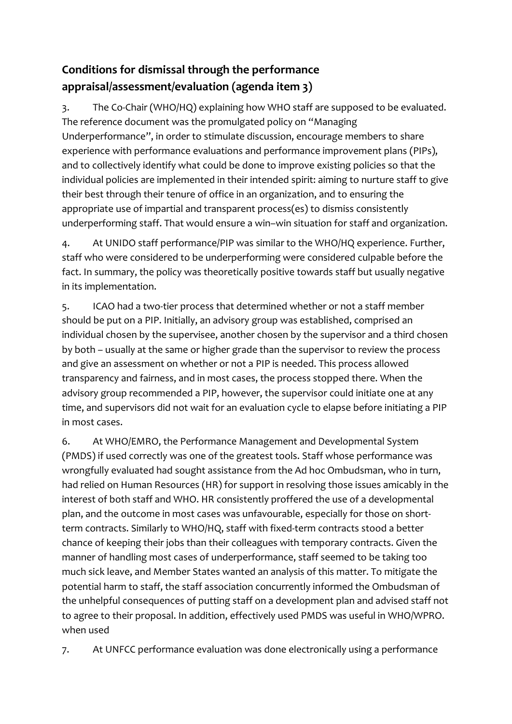# **Conditions for dismissal through the performance appraisal/assessment/evaluation (agenda item 3)**

3. The Co-Chair (WHO/HQ) explaining how WHO staff are supposed to be evaluated. The reference document was the promulgated policy on "Managing Underperformance", in order to stimulate discussion, encourage members to share experience with performance evaluations and performance improvement plans (PIPs), and to collectively identify what could be done to improve existing policies so that the individual policies are implemented in their intended spirit: aiming to nurture staff to give their best through their tenure of office in an organization, and to ensuring the appropriate use of impartial and transparent process(es) to dismiss consistently underperforming staff. That would ensure a win–win situation for staff and organization.

4. At UNIDO staff performance/PIP was similar to the WHO/HQ experience. Further, staff who were considered to be underperforming were considered culpable before the fact. In summary, the policy was theoretically positive towards staff but usually negative in its implementation.

5. ICAO had a two-tier process that determined whether or not a staff member should be put on a PIP. Initially, an advisory group was established, comprised an individual chosen by the supervisee, another chosen by the supervisor and a third chosen by both – usually at the same or higher grade than the supervisor to review the process and give an assessment on whether or not a PIP is needed. This process allowed transparency and fairness, and in most cases, the process stopped there. When the advisory group recommended a PIP, however, the supervisor could initiate one at any time, and supervisors did not wait for an evaluation cycle to elapse before initiating a PIP in most cases.

6. At WHO/EMRO, the Performance Management and Developmental System (PMDS) if used correctly was one of the greatest tools. Staff whose performance was wrongfully evaluated had sought assistance from the Ad hoc Ombudsman, who in turn, had relied on Human Resources (HR) for support in resolving those issues amicably in the interest of both staff and WHO. HR consistently proffered the use of a developmental plan, and the outcome in most cases was unfavourable, especially for those on shortterm contracts. Similarly to WHO/HQ, staff with fixed-term contracts stood a better chance of keeping their jobs than their colleagues with temporary contracts. Given the manner of handling most cases of underperformance, staff seemed to be taking too much sick leave, and Member States wanted an analysis of this matter. To mitigate the potential harm to staff, the staff association concurrently informed the Ombudsman of the unhelpful consequences of putting staff on a development plan and advised staff not to agree to their proposal. In addition, effectively used PMDS was useful in WHO/WPRO. when used

7. At UNFCC performance evaluation was done electronically using a performance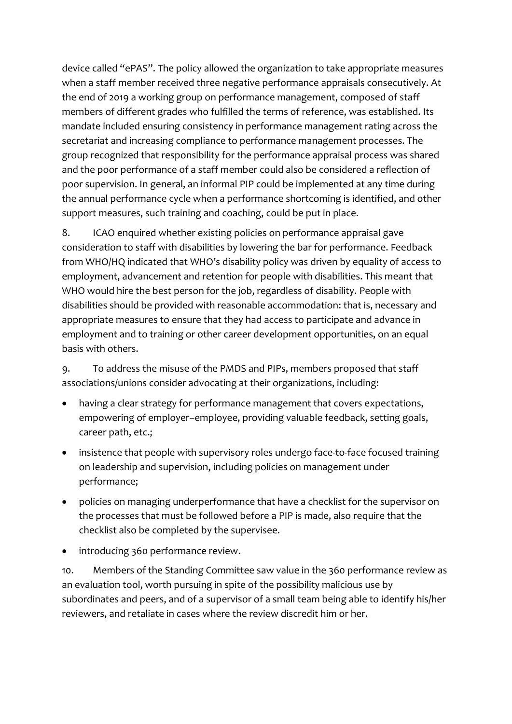device called "ePAS". The policy allowed the organization to take appropriate measures when a staff member received three negative performance appraisals consecutively. At the end of 2019 a working group on performance management, composed of staff members of different grades who fulfilled the terms of reference, was established. Its mandate included ensuring consistency in performance management rating across the secretariat and increasing compliance to performance management processes. The group recognized that responsibility for the performance appraisal process was shared and the poor performance of a staff member could also be considered a reflection of poor supervision. In general, an informal PIP could be implemented at any time during the annual performance cycle when a performance shortcoming is identified, and other support measures, such training and coaching, could be put in place.

8. ICAO enquired whether existing policies on performance appraisal gave consideration to staff with disabilities by lowering the bar for performance. Feedback from WHO/HQ indicated that WHO's disability policy was driven by equality of access to employment, advancement and retention for people with disabilities. This meant that WHO would hire the best person for the job, regardless of disability. People with disabilities should be provided with reasonable accommodation: that is, necessary and appropriate measures to ensure that they had access to participate and advance in employment and to training or other career development opportunities, on an equal basis with others.

9. To address the misuse of the PMDS and PIPs, members proposed that staff associations/unions consider advocating at their organizations, including:

- having a clear strategy for performance management that covers expectations, empowering of employer–employee, providing valuable feedback, setting goals, career path, etc.;
- insistence that people with supervisory roles undergo face-to-face focused training on leadership and supervision, including policies on management under performance;
- policies on managing underperformance that have a checklist for the supervisor on the processes that must be followed before a PIP is made, also require that the checklist also be completed by the supervisee.
- introducing 360 performance review.

10. Members of the Standing Committee saw value in the 360 performance review as an evaluation tool, worth pursuing in spite of the possibility malicious use by subordinates and peers, and of a supervisor of a small team being able to identify his/her reviewers, and retaliate in cases where the review discredit him or her.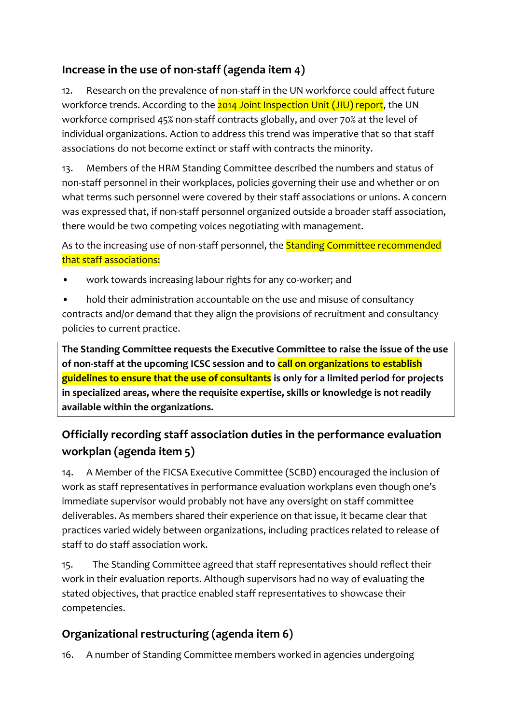# **Increase in the use of non-staff (agenda item 4)**

12. Research on the prevalence of non-staff in the UN workforce could affect future workforce trends. According to the 2014 Joint Inspection Unit (JIU) report, the UN workforce comprised 45% non-staff contracts globally, and over 70% at the level of individual organizations. Action to address this trend was imperative that so that staff associations do not become extinct or staff with contracts the minority.

13. Members of the HRM Standing Committee described the numbers and status of non-staff personnel in their workplaces, policies governing their use and whether or on what terms such personnel were covered by their staff associations or unions. A concern was expressed that, if non-staff personnel organized outside a broader staff association, there would be two competing voices negotiating with management.

As to the increasing use of non-staff personnel, the **Standing Committee recommended** that staff associations:

- work towards increasing labour rights for any co-worker; and
- hold their administration accountable on the use and misuse of consultancy contracts and/or demand that they align the provisions of recruitment and consultancy policies to current practice.

**The Standing Committee requests the Executive Committee to raise the issue of the use of non-staff at the upcoming ICSC session and to call on organizations to establish guidelines to ensure that the use of consultants is only for a limited period for projects in specialized areas, where the requisite expertise, skills or knowledge is not readily available within the organizations.**

# **Officially recording staff association duties in the performance evaluation workplan (agenda item 5)**

14. A Member of the FICSA Executive Committee (SCBD) encouraged the inclusion of work as staff representatives in performance evaluation workplans even though one's immediate supervisor would probably not have any oversight on staff committee deliverables. As members shared their experience on that issue, it became clear that practices varied widely between organizations, including practices related to release of staff to do staff association work.

15. The Standing Committee agreed that staff representatives should reflect their work in their evaluation reports. Although supervisors had no way of evaluating the stated objectives, that practice enabled staff representatives to showcase their competencies.

# **Organizational restructuring (agenda item 6)**

16. A number of Standing Committee members worked in agencies undergoing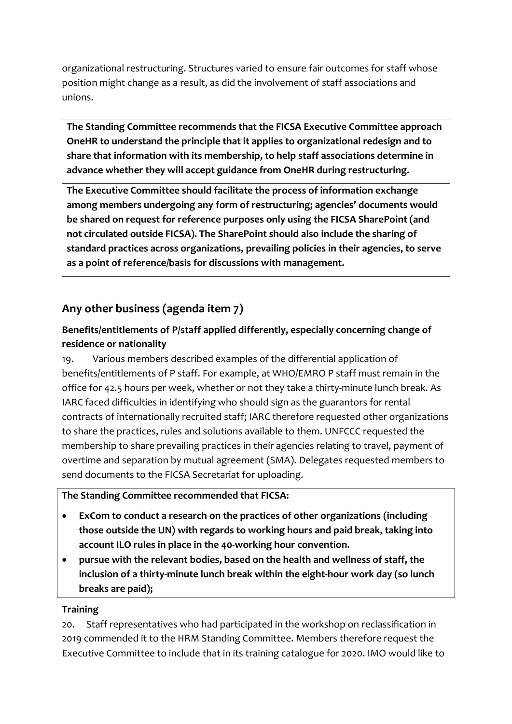organizational restructuring. Structures varied to ensure fair outcomes for staff whose position might change as a result, as did the involvement of staff associations and unions.

**The Standing Committee recommends that the FICSA Executive Committee approach OneHR to understand the principle that it applies to organizational redesign and to share that information with its membership, to help staff associations determine in advance whether they will accept guidance from OneHR during restructuring.**

**The Executive Committee should facilitate the process of information exchange among members undergoing any form of restructuring; agencies' documents would be shared on request for reference purposes only using the FICSA SharePoint (and not circulated outside FICSA). The SharePoint should also include the sharing of standard practices across organizations, prevailing policies in their agencies, to serve as a point of reference/basis for discussions with management.**

# **Any other business (agenda item 7)**

#### **Benefits/entitlements of P/staff applied differently, especially concerning change of residence or nationality**

19. Various members described examples of the differential application of benefits/entitlements of P staff. For example, at WHO/EMRO P staff must remain in the office for 42.5 hours per week, whether or not they take a thirty-minute lunch break. As IARC faced difficulties in identifying who should sign as the guarantors for rental contracts of internationally recruited staff; IARC therefore requested other organizations to share the practices, rules and solutions available to them. UNFCCC requested the membership to share prevailing practices in their agencies relating to travel, payment of overtime and separation by mutual agreement (SMA). Delegates requested members to send documents to the FICSA Secretariat for uploading.

#### **The Standing Committee recommended that FICSA:**

- **ExCom to conduct a research on the practices of other organizations (including those outside the UN) with regards to working hours and paid break, taking into account ILO rules in place in the 40-working hour convention.**
- **pursue with the relevant bodies, based on the health and wellness of staff, the inclusion of a thirty-minute lunch break within the eight-hour work day (so lunch breaks are paid);**

#### **Training**

20. Staff representatives who had participated in the workshop on reclassification in 2019 commended it to the HRM Standing Committee. Members therefore request the Executive Committee to include that in its training catalogue for 2020. IMO would like to